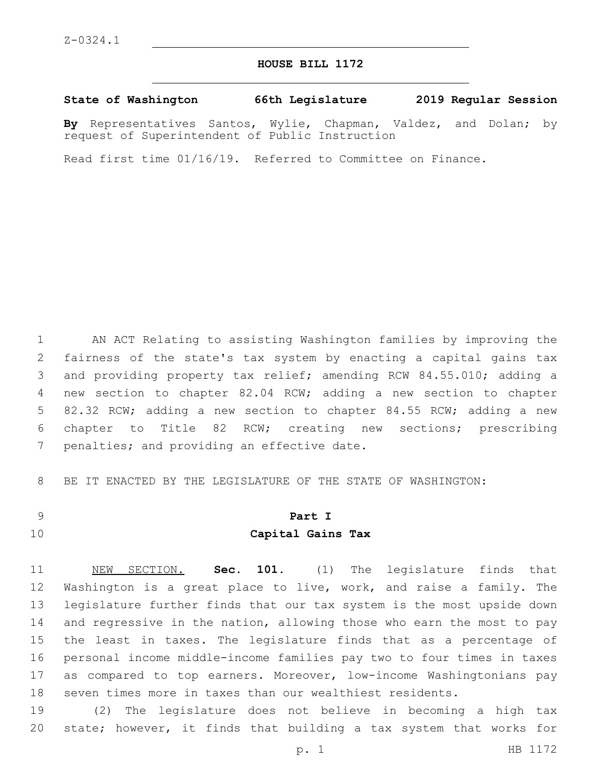#### **HOUSE BILL 1172**

**State of Washington 66th Legislature 2019 Regular Session**

**By** Representatives Santos, Wylie, Chapman, Valdez, and Dolan; by request of Superintendent of Public Instruction

Read first time 01/16/19. Referred to Committee on Finance.

 AN ACT Relating to assisting Washington families by improving the fairness of the state's tax system by enacting a capital gains tax and providing property tax relief; amending RCW 84.55.010; adding a new section to chapter 82.04 RCW; adding a new section to chapter 82.32 RCW; adding a new section to chapter 84.55 RCW; adding a new chapter to Title 82 RCW; creating new sections; prescribing 7 penalties; and providing an effective date.

BE IT ENACTED BY THE LEGISLATURE OF THE STATE OF WASHINGTON:

# **Part I**

## **Capital Gains Tax**

 NEW SECTION. **Sec. 101.** (1) The legislature finds that Washington is a great place to live, work, and raise a family. The legislature further finds that our tax system is the most upside down and regressive in the nation, allowing those who earn the most to pay the least in taxes. The legislature finds that as a percentage of personal income middle-income families pay two to four times in taxes as compared to top earners. Moreover, low-income Washingtonians pay seven times more in taxes than our wealthiest residents.

 (2) The legislature does not believe in becoming a high tax state; however, it finds that building a tax system that works for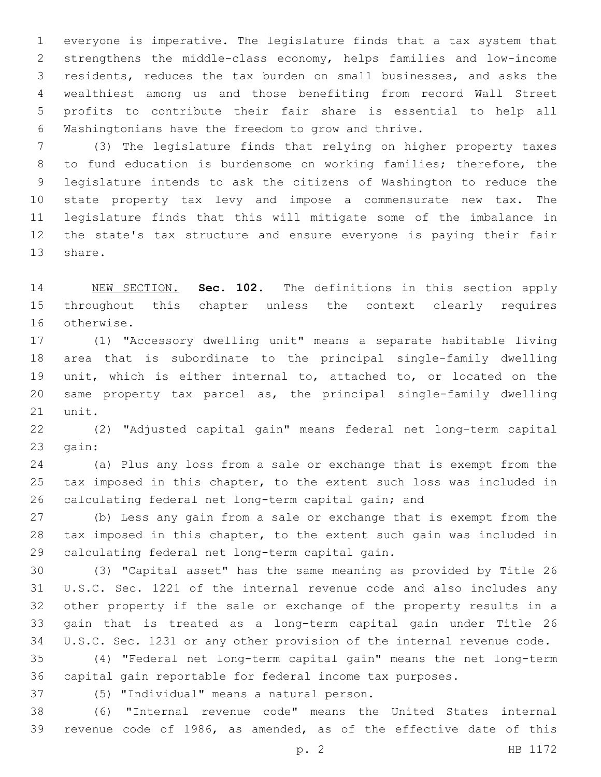everyone is imperative. The legislature finds that a tax system that strengthens the middle-class economy, helps families and low-income residents, reduces the tax burden on small businesses, and asks the wealthiest among us and those benefiting from record Wall Street profits to contribute their fair share is essential to help all Washingtonians have the freedom to grow and thrive.

 (3) The legislature finds that relying on higher property taxes to fund education is burdensome on working families; therefore, the legislature intends to ask the citizens of Washington to reduce the state property tax levy and impose a commensurate new tax. The legislature finds that this will mitigate some of the imbalance in the state's tax structure and ensure everyone is paying their fair 13 share.

 NEW SECTION. **Sec. 102.** The definitions in this section apply throughout this chapter unless the context clearly requires otherwise.

 (1) "Accessory dwelling unit" means a separate habitable living area that is subordinate to the principal single-family dwelling unit, which is either internal to, attached to, or located on the same property tax parcel as, the principal single-family dwelling 21 unit.

 (2) "Adjusted capital gain" means federal net long-term capital 23 qain:

 (a) Plus any loss from a sale or exchange that is exempt from the tax imposed in this chapter, to the extent such loss was included in calculating federal net long-term capital gain; and

 (b) Less any gain from a sale or exchange that is exempt from the tax imposed in this chapter, to the extent such gain was included in 29 calculating federal net long-term capital gain.

 (3) "Capital asset" has the same meaning as provided by Title 26 U.S.C. Sec. 1221 of the internal revenue code and also includes any other property if the sale or exchange of the property results in a gain that is treated as a long-term capital gain under Title 26 U.S.C. Sec. 1231 or any other provision of the internal revenue code.

 (4) "Federal net long-term capital gain" means the net long-term capital gain reportable for federal income tax purposes.

(5) "Individual" means a natural person.37

 (6) "Internal revenue code" means the United States internal revenue code of 1986, as amended, as of the effective date of this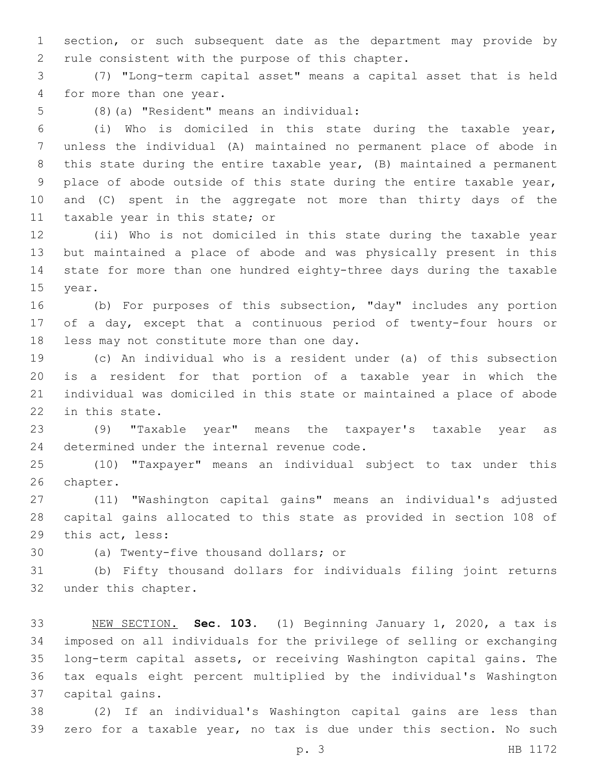section, or such subsequent date as the department may provide by 2 rule consistent with the purpose of this chapter.

 (7) "Long-term capital asset" means a capital asset that is held 4 for more than one year.

(8)(a) "Resident" means an individual:5

 (i) Who is domiciled in this state during the taxable year, unless the individual (A) maintained no permanent place of abode in this state during the entire taxable year, (B) maintained a permanent place of abode outside of this state during the entire taxable year, and (C) spent in the aggregate not more than thirty days of the 11 taxable year in this state; or

 (ii) Who is not domiciled in this state during the taxable year but maintained a place of abode and was physically present in this state for more than one hundred eighty-three days during the taxable 15 year.

 (b) For purposes of this subsection, "day" includes any portion of a day, except that a continuous period of twenty-four hours or 18 less may not constitute more than one day.

 (c) An individual who is a resident under (a) of this subsection is a resident for that portion of a taxable year in which the individual was domiciled in this state or maintained a place of abode 22 in this state.

 (9) "Taxable year" means the taxpayer's taxable year as 24 determined under the internal revenue code.

 (10) "Taxpayer" means an individual subject to tax under this 26 chapter.

 (11) "Washington capital gains" means an individual's adjusted capital gains allocated to this state as provided in section 108 of 29 this act, less:

30 (a) Twenty-five thousand dollars; or

 (b) Fifty thousand dollars for individuals filing joint returns 32 under this chapter.

 NEW SECTION. **Sec. 103.** (1) Beginning January 1, 2020, a tax is imposed on all individuals for the privilege of selling or exchanging long-term capital assets, or receiving Washington capital gains. The tax equals eight percent multiplied by the individual's Washington capital gains.

 (2) If an individual's Washington capital gains are less than zero for a taxable year, no tax is due under this section. No such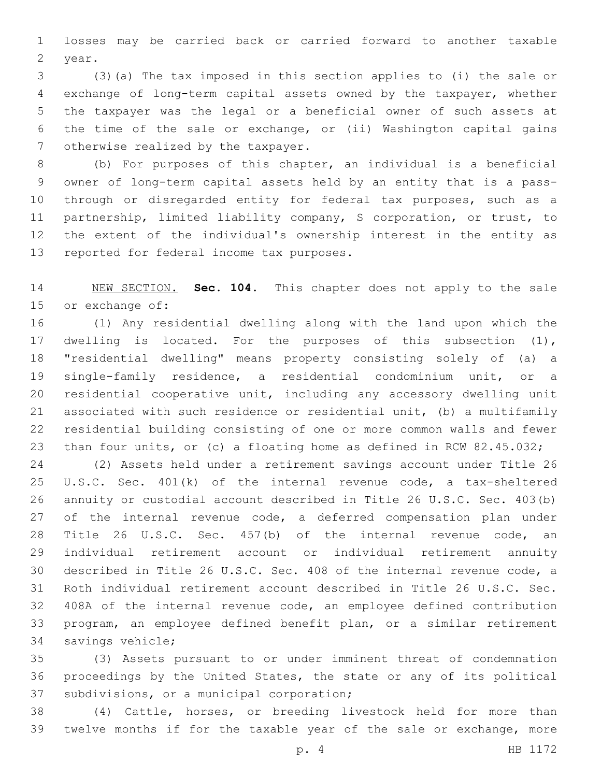losses may be carried back or carried forward to another taxable 2 year.

 (3)(a) The tax imposed in this section applies to (i) the sale or exchange of long-term capital assets owned by the taxpayer, whether the taxpayer was the legal or a beneficial owner of such assets at the time of the sale or exchange, or (ii) Washington capital gains 7 otherwise realized by the taxpayer.

 (b) For purposes of this chapter, an individual is a beneficial owner of long-term capital assets held by an entity that is a pass- through or disregarded entity for federal tax purposes, such as a partnership, limited liability company, S corporation, or trust, to the extent of the individual's ownership interest in the entity as 13 reported for federal income tax purposes.

 NEW SECTION. **Sec. 104.** This chapter does not apply to the sale or exchange of:

 (1) Any residential dwelling along with the land upon which the dwelling is located. For the purposes of this subsection (1), "residential dwelling" means property consisting solely of (a) a single-family residence, a residential condominium unit, or a residential cooperative unit, including any accessory dwelling unit associated with such residence or residential unit, (b) a multifamily residential building consisting of one or more common walls and fewer than four units, or (c) a floating home as defined in RCW 82.45.032;

 (2) Assets held under a retirement savings account under Title 26 U.S.C. Sec. 401(k) of the internal revenue code, a tax-sheltered annuity or custodial account described in Title 26 U.S.C. Sec. 403(b) 27 of the internal revenue code, a deferred compensation plan under Title 26 U.S.C. Sec. 457(b) of the internal revenue code, an individual retirement account or individual retirement annuity described in Title 26 U.S.C. Sec. 408 of the internal revenue code, a Roth individual retirement account described in Title 26 U.S.C. Sec. 408A of the internal revenue code, an employee defined contribution program, an employee defined benefit plan, or a similar retirement 34 savings vehicle;

 (3) Assets pursuant to or under imminent threat of condemnation proceedings by the United States, the state or any of its political 37 subdivisions, or a municipal corporation;

 (4) Cattle, horses, or breeding livestock held for more than twelve months if for the taxable year of the sale or exchange, more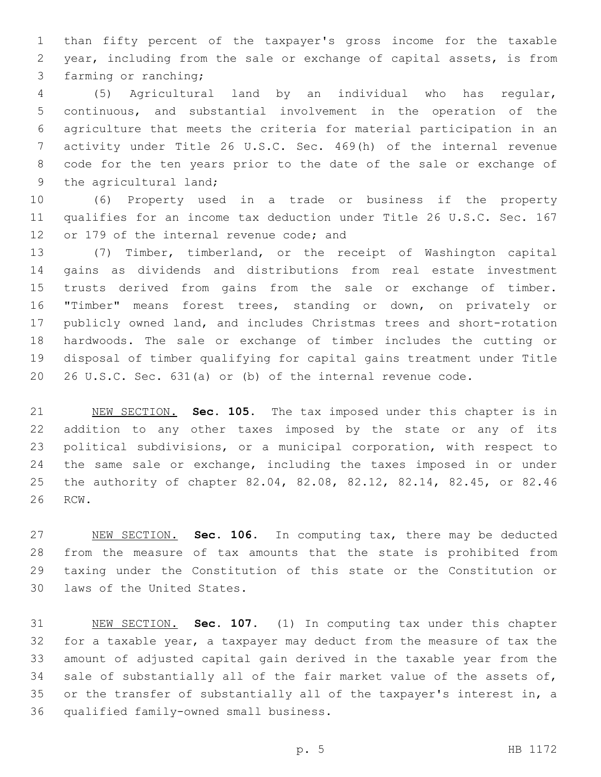than fifty percent of the taxpayer's gross income for the taxable year, including from the sale or exchange of capital assets, is from 3 farming or ranching;

 (5) Agricultural land by an individual who has regular, continuous, and substantial involvement in the operation of the agriculture that meets the criteria for material participation in an activity under Title 26 U.S.C. Sec. 469(h) of the internal revenue code for the ten years prior to the date of the sale or exchange of 9 the agricultural land;

 (6) Property used in a trade or business if the property qualifies for an income tax deduction under Title 26 U.S.C. Sec. 167 12 or 179 of the internal revenue code; and

 (7) Timber, timberland, or the receipt of Washington capital gains as dividends and distributions from real estate investment trusts derived from gains from the sale or exchange of timber. "Timber" means forest trees, standing or down, on privately or publicly owned land, and includes Christmas trees and short-rotation hardwoods. The sale or exchange of timber includes the cutting or disposal of timber qualifying for capital gains treatment under Title 26 U.S.C. Sec. 631(a) or (b) of the internal revenue code.

 NEW SECTION. **Sec. 105.** The tax imposed under this chapter is in addition to any other taxes imposed by the state or any of its political subdivisions, or a municipal corporation, with respect to 24 the same sale or exchange, including the taxes imposed in or under the authority of chapter 82.04, 82.08, 82.12, 82.14, 82.45, or 82.46 RCW.

 NEW SECTION. **Sec. 106.** In computing tax, there may be deducted from the measure of tax amounts that the state is prohibited from taxing under the Constitution of this state or the Constitution or laws of the United States.

 NEW SECTION. **Sec. 107.** (1) In computing tax under this chapter for a taxable year, a taxpayer may deduct from the measure of tax the amount of adjusted capital gain derived in the taxable year from the sale of substantially all of the fair market value of the assets of, or the transfer of substantially all of the taxpayer's interest in, a qualified family-owned small business.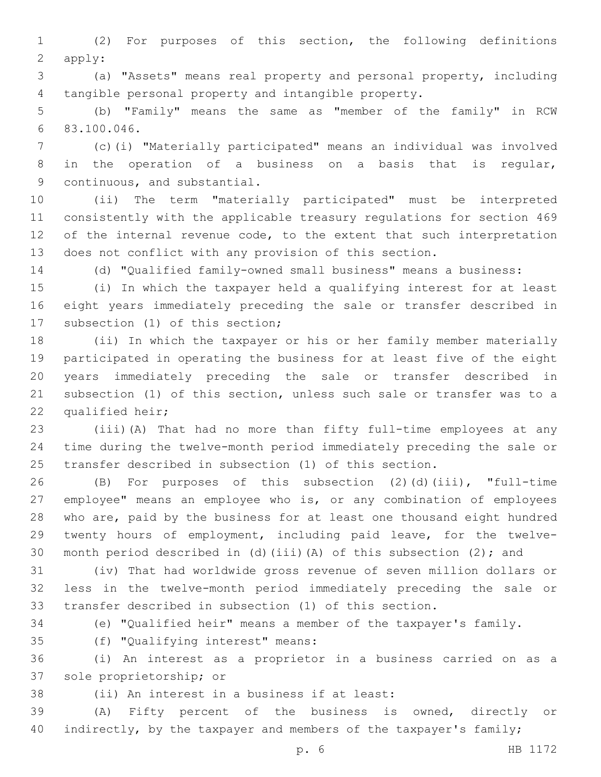(2) For purposes of this section, the following definitions 2 apply:

 (a) "Assets" means real property and personal property, including tangible personal property and intangible property.

 (b) "Family" means the same as "member of the family" in RCW 83.100.046.6

 (c)(i) "Materially participated" means an individual was involved in the operation of a business on a basis that is regular, 9 continuous, and substantial.

 (ii) The term "materially participated" must be interpreted consistently with the applicable treasury regulations for section 469 12 of the internal revenue code, to the extent that such interpretation does not conflict with any provision of this section.

(d) "Qualified family-owned small business" means a business:

 (i) In which the taxpayer held a qualifying interest for at least eight years immediately preceding the sale or transfer described in 17 subsection (1) of this section;

 (ii) In which the taxpayer or his or her family member materially participated in operating the business for at least five of the eight years immediately preceding the sale or transfer described in subsection (1) of this section, unless such sale or transfer was to a 22 qualified heir;

 (iii)(A) That had no more than fifty full-time employees at any time during the twelve-month period immediately preceding the sale or transfer described in subsection (1) of this section.

 (B) For purposes of this subsection (2)(d)(iii), "full-time employee" means an employee who is, or any combination of employees who are, paid by the business for at least one thousand eight hundred twenty hours of employment, including paid leave, for the twelve-30 month period described in (d)(iii)(A) of this subsection (2); and

 (iv) That had worldwide gross revenue of seven million dollars or less in the twelve-month period immediately preceding the sale or transfer described in subsection (1) of this section.

(e) "Qualified heir" means a member of the taxpayer's family.

(f) "Qualifying interest" means:35

 (i) An interest as a proprietor in a business carried on as a 37 sole proprietorship; or

38 (ii) An interest in a business if at least:

 (A) Fifty percent of the business is owned, directly or 40 indirectly, by the taxpayer and members of the taxpayer's family;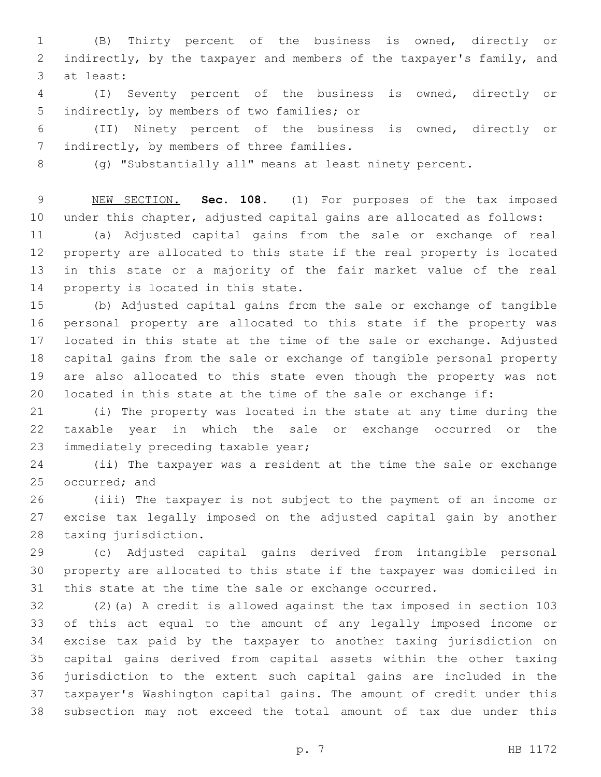(B) Thirty percent of the business is owned, directly or indirectly, by the taxpayer and members of the taxpayer's family, and 3 at least:

 (I) Seventy percent of the business is owned, directly or 5 indirectly, by members of two families; or

 (II) Ninety percent of the business is owned, directly or 7 indirectly, by members of three families.

(g) "Substantially all" means at least ninety percent.

 NEW SECTION. **Sec. 108.** (1) For purposes of the tax imposed under this chapter, adjusted capital gains are allocated as follows:

 (a) Adjusted capital gains from the sale or exchange of real property are allocated to this state if the real property is located in this state or a majority of the fair market value of the real 14 property is located in this state.

 (b) Adjusted capital gains from the sale or exchange of tangible personal property are allocated to this state if the property was located in this state at the time of the sale or exchange. Adjusted capital gains from the sale or exchange of tangible personal property are also allocated to this state even though the property was not located in this state at the time of the sale or exchange if:

 (i) The property was located in the state at any time during the taxable year in which the sale or exchange occurred or the 23 immediately preceding taxable year;

 (ii) The taxpayer was a resident at the time the sale or exchange 25 occurred; and

 (iii) The taxpayer is not subject to the payment of an income or excise tax legally imposed on the adjusted capital gain by another 28 taxing jurisdiction.

 (c) Adjusted capital gains derived from intangible personal property are allocated to this state if the taxpayer was domiciled in this state at the time the sale or exchange occurred.

 (2)(a) A credit is allowed against the tax imposed in section 103 of this act equal to the amount of any legally imposed income or excise tax paid by the taxpayer to another taxing jurisdiction on capital gains derived from capital assets within the other taxing jurisdiction to the extent such capital gains are included in the taxpayer's Washington capital gains. The amount of credit under this subsection may not exceed the total amount of tax due under this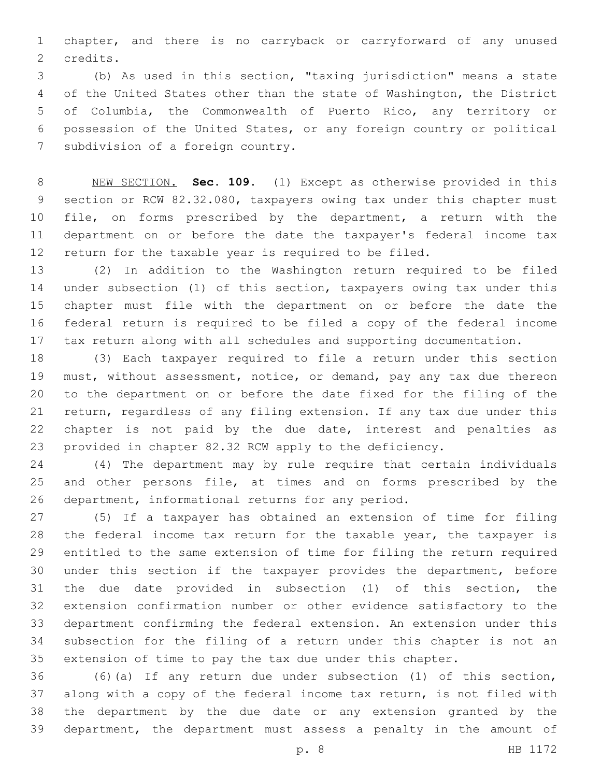chapter, and there is no carryback or carryforward of any unused 2 credits.

 (b) As used in this section, "taxing jurisdiction" means a state of the United States other than the state of Washington, the District of Columbia, the Commonwealth of Puerto Rico, any territory or possession of the United States, or any foreign country or political 7 subdivision of a foreign country.

 NEW SECTION. **Sec. 109.** (1) Except as otherwise provided in this section or RCW 82.32.080, taxpayers owing tax under this chapter must file, on forms prescribed by the department, a return with the department on or before the date the taxpayer's federal income tax return for the taxable year is required to be filed.

 (2) In addition to the Washington return required to be filed under subsection (1) of this section, taxpayers owing tax under this chapter must file with the department on or before the date the federal return is required to be filed a copy of the federal income tax return along with all schedules and supporting documentation.

 (3) Each taxpayer required to file a return under this section must, without assessment, notice, or demand, pay any tax due thereon to the department on or before the date fixed for the filing of the return, regardless of any filing extension. If any tax due under this chapter is not paid by the due date, interest and penalties as provided in chapter 82.32 RCW apply to the deficiency.

 (4) The department may by rule require that certain individuals and other persons file, at times and on forms prescribed by the 26 department, informational returns for any period.

 (5) If a taxpayer has obtained an extension of time for filing the federal income tax return for the taxable year, the taxpayer is entitled to the same extension of time for filing the return required under this section if the taxpayer provides the department, before the due date provided in subsection (1) of this section, the extension confirmation number or other evidence satisfactory to the department confirming the federal extension. An extension under this subsection for the filing of a return under this chapter is not an extension of time to pay the tax due under this chapter.

 (6)(a) If any return due under subsection (1) of this section, along with a copy of the federal income tax return, is not filed with the department by the due date or any extension granted by the department, the department must assess a penalty in the amount of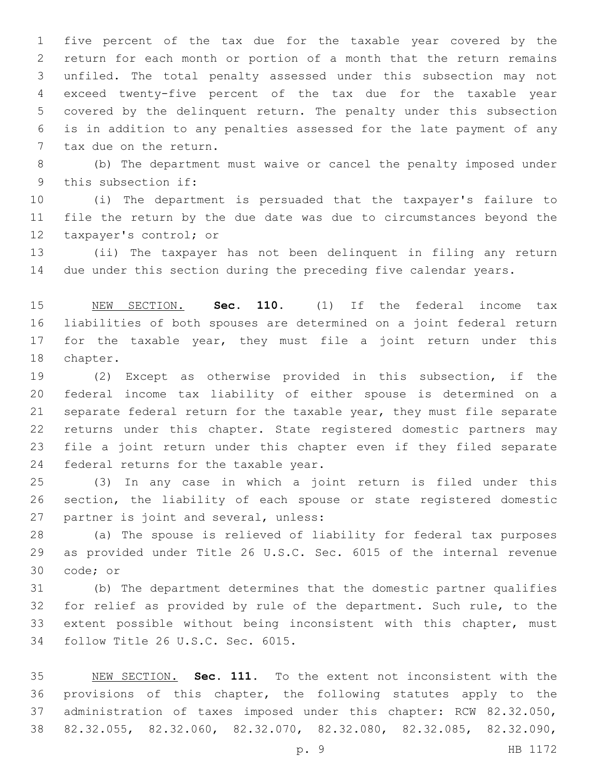five percent of the tax due for the taxable year covered by the return for each month or portion of a month that the return remains unfiled. The total penalty assessed under this subsection may not exceed twenty-five percent of the tax due for the taxable year covered by the delinquent return. The penalty under this subsection is in addition to any penalties assessed for the late payment of any 7 tax due on the return.

 (b) The department must waive or cancel the penalty imposed under 9 this subsection if:

 (i) The department is persuaded that the taxpayer's failure to file the return by the due date was due to circumstances beyond the 12 taxpayer's control; or

 (ii) The taxpayer has not been delinquent in filing any return due under this section during the preceding five calendar years.

 NEW SECTION. **Sec. 110.** (1) If the federal income tax liabilities of both spouses are determined on a joint federal return 17 for the taxable year, they must file a joint return under this chapter.

 (2) Except as otherwise provided in this subsection, if the federal income tax liability of either spouse is determined on a separate federal return for the taxable year, they must file separate returns under this chapter. State registered domestic partners may file a joint return under this chapter even if they filed separate 24 federal returns for the taxable year.

 (3) In any case in which a joint return is filed under this section, the liability of each spouse or state registered domestic 27 partner is joint and several, unless:

 (a) The spouse is relieved of liability for federal tax purposes as provided under Title 26 U.S.C. Sec. 6015 of the internal revenue 30 code; or

 (b) The department determines that the domestic partner qualifies for relief as provided by rule of the department. Such rule, to the extent possible without being inconsistent with this chapter, must 34 follow Title 26 U.S.C. Sec. 6015.

 NEW SECTION. **Sec. 111.** To the extent not inconsistent with the provisions of this chapter, the following statutes apply to the administration of taxes imposed under this chapter: RCW 82.32.050, 82.32.055, 82.32.060, 82.32.070, 82.32.080, 82.32.085, 82.32.090,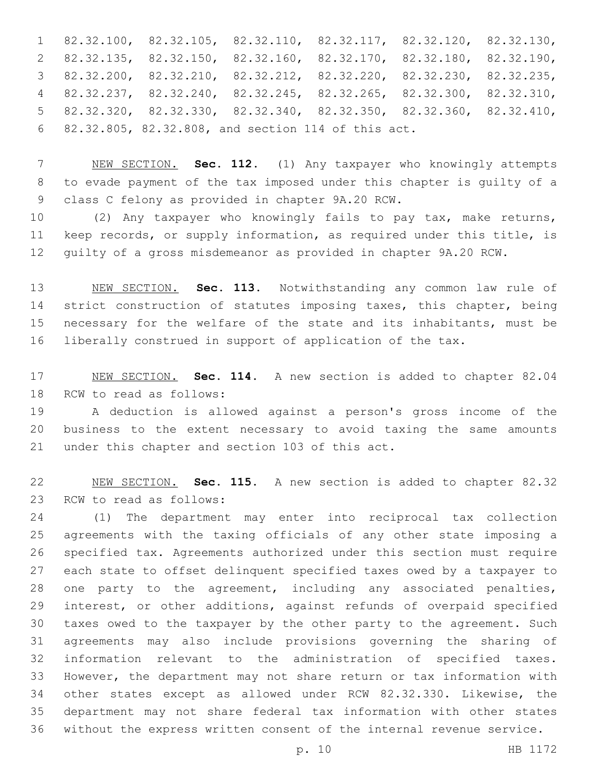82.32.100, 82.32.105, 82.32.110, 82.32.117, 82.32.120, 82.32.130, 82.32.135, 82.32.150, 82.32.160, 82.32.170, 82.32.180, 82.32.190, 82.32.200, 82.32.210, 82.32.212, 82.32.220, 82.32.230, 82.32.235, 82.32.237, 82.32.240, 82.32.245, 82.32.265, 82.32.300, 82.32.310, 82.32.320, 82.32.330, 82.32.340, 82.32.350, 82.32.360, 82.32.410, 82.32.805, 82.32.808, and section 114 of this act.6

 NEW SECTION. **Sec. 112.** (1) Any taxpayer who knowingly attempts to evade payment of the tax imposed under this chapter is guilty of a class C felony as provided in chapter 9A.20 RCW.

 (2) Any taxpayer who knowingly fails to pay tax, make returns, keep records, or supply information, as required under this title, is guilty of a gross misdemeanor as provided in chapter 9A.20 RCW.

 NEW SECTION. **Sec. 113.** Notwithstanding any common law rule of strict construction of statutes imposing taxes, this chapter, being necessary for the welfare of the state and its inhabitants, must be liberally construed in support of application of the tax.

 NEW SECTION. **Sec. 114.** A new section is added to chapter 82.04 18 RCW to read as follows:

 A deduction is allowed against a person's gross income of the business to the extent necessary to avoid taxing the same amounts 21 under this chapter and section 103 of this act.

 NEW SECTION. **Sec. 115.** A new section is added to chapter 82.32 23 RCW to read as follows:

 (1) The department may enter into reciprocal tax collection agreements with the taxing officials of any other state imposing a specified tax. Agreements authorized under this section must require each state to offset delinquent specified taxes owed by a taxpayer to one party to the agreement, including any associated penalties, interest, or other additions, against refunds of overpaid specified taxes owed to the taxpayer by the other party to the agreement. Such agreements may also include provisions governing the sharing of information relevant to the administration of specified taxes. However, the department may not share return or tax information with other states except as allowed under RCW 82.32.330. Likewise, the department may not share federal tax information with other states without the express written consent of the internal revenue service.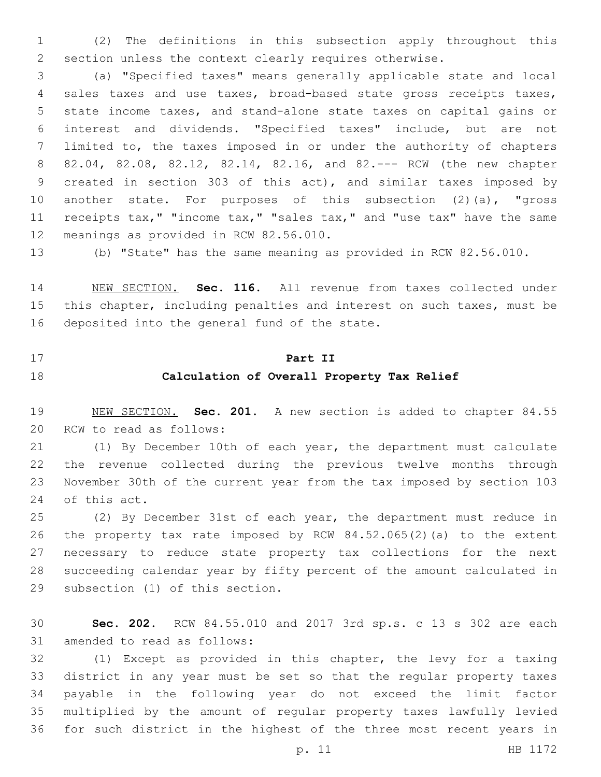(2) The definitions in this subsection apply throughout this section unless the context clearly requires otherwise.

 (a) "Specified taxes" means generally applicable state and local sales taxes and use taxes, broad-based state gross receipts taxes, state income taxes, and stand-alone state taxes on capital gains or interest and dividends. "Specified taxes" include, but are not limited to, the taxes imposed in or under the authority of chapters 82.04, 82.08, 82.12, 82.14, 82.16, and 82.--- RCW (the new chapter created in section 303 of this act), and similar taxes imposed by another state. For purposes of this subsection (2)(a), "gross 11 receipts tax," "income tax," "sales tax," and "use tax" have the same 12 meanings as provided in RCW 82.56.010.

(b) "State" has the same meaning as provided in RCW 82.56.010.

 NEW SECTION. **Sec. 116.** All revenue from taxes collected under this chapter, including penalties and interest on such taxes, must be deposited into the general fund of the state.

#### **Part II**

#### **Calculation of Overall Property Tax Relief**

 NEW SECTION. **Sec. 201.** A new section is added to chapter 84.55 20 RCW to read as follows:

 (1) By December 10th of each year, the department must calculate the revenue collected during the previous twelve months through November 30th of the current year from the tax imposed by section 103 24 of this act.

 (2) By December 31st of each year, the department must reduce in the property tax rate imposed by RCW 84.52.065(2)(a) to the extent necessary to reduce state property tax collections for the next succeeding calendar year by fifty percent of the amount calculated in 29 subsection (1) of this section.

 **Sec. 202.** RCW 84.55.010 and 2017 3rd sp.s. c 13 s 302 are each 31 amended to read as follows:

 (1) Except as provided in this chapter, the levy for a taxing district in any year must be set so that the regular property taxes payable in the following year do not exceed the limit factor multiplied by the amount of regular property taxes lawfully levied for such district in the highest of the three most recent years in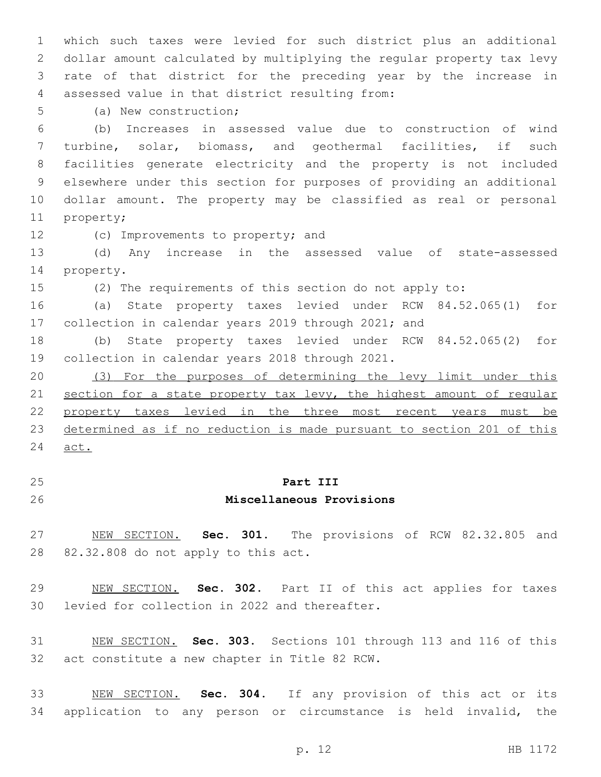which such taxes were levied for such district plus an additional dollar amount calculated by multiplying the regular property tax levy rate of that district for the preceding year by the increase in assessed value in that district resulting from:4

5 (a) New construction;

 (b) Increases in assessed value due to construction of wind turbine, solar, biomass, and geothermal facilities, if such facilities generate electricity and the property is not included elsewhere under this section for purposes of providing an additional dollar amount. The property may be classified as real or personal 11 property;

12 (c) Improvements to property; and

 (d) Any increase in the assessed value of state-assessed 14 property.

(2) The requirements of this section do not apply to:

 (a) State property taxes levied under RCW 84.52.065(1) for collection in calendar years 2019 through 2021; and

 (b) State property taxes levied under RCW 84.52.065(2) for 19 collection in calendar years 2018 through 2021.

 (3) For the purposes of determining the levy limit under this 21 section for a state property tax levy, the highest amount of regular property taxes levied in the three most recent years must be determined as if no reduction is made pursuant to section 201 of this act.

## **Part III**

### **Miscellaneous Provisions**

 NEW SECTION. **Sec. 301.** The provisions of RCW 82.32.805 and 82.32.808 do not apply to this act.

 NEW SECTION. **Sec. 302.** Part II of this act applies for taxes levied for collection in 2022 and thereafter.

 NEW SECTION. **Sec. 303.** Sections 101 through 113 and 116 of this act constitute a new chapter in Title 82 RCW.

 NEW SECTION. **Sec. 304.** If any provision of this act or its application to any person or circumstance is held invalid, the